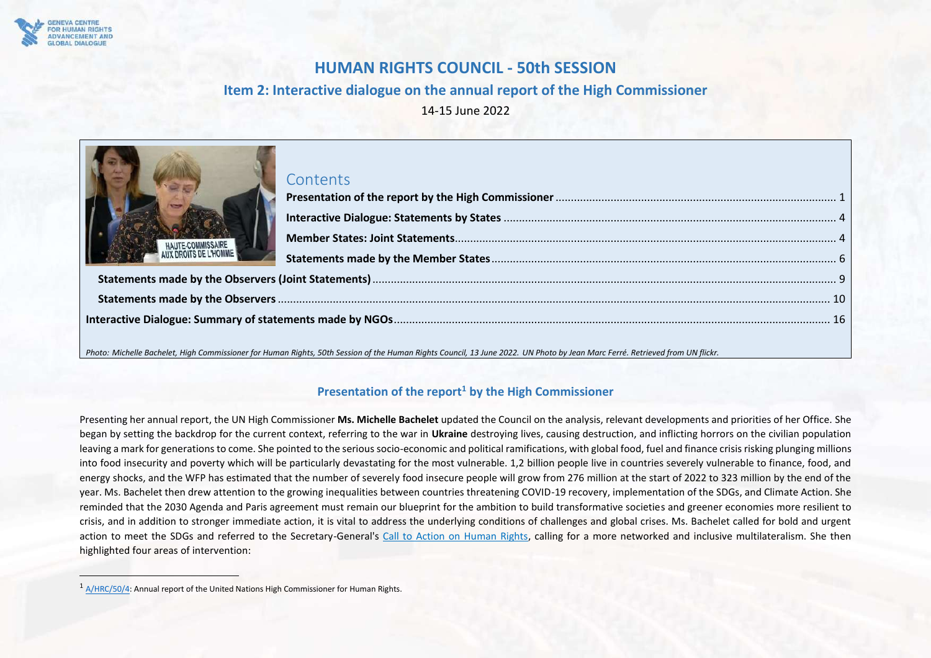

# **HUMAN RIGHTS COUNCIL - 50th SESSION**

# **Item 2: Interactive dialogue on the annual report of the High Commissioner**

14-15 June 2022

| HAUTE-COMMISSAIRE | Contents |  |
|-------------------|----------|--|
|                   |          |  |
|                   |          |  |
|                   |          |  |
|                   |          |  |

*Photo: Michelle Bachelet, High Commissioner for Human Rights, 50th Session of the Human Rights Council, 13 June 2022. UN Photo by Jean Marc Ferré. Retrieved from UN flickr.*

## **Presentation of the report<sup>1</sup> by the High Commissioner**

<span id="page-0-0"></span>Presenting her annual report, the UN High Commissioner **Ms. Michelle Bachelet** updated the Council on the analysis, relevant developments and priorities of her Office. She began by setting the backdrop for the current context, referring to the war in **Ukraine** destroying lives, causing destruction, and inflicting horrors on the civilian population leaving a mark for generations to come. She pointed to the serious socio-economic and political ramifications, with global food, fuel and finance crisis risking plunging millions into food insecurity and poverty which will be particularly devastating for the most vulnerable. 1,2 billion people live in countries severely vulnerable to finance, food, and energy shocks, and the WFP has estimated that the number of severely food insecure people will grow from 276 million at the start of 2022 to 323 million by the end of the year. Ms. Bachelet then drew attention to the growing inequalities between countries threatening COVID-19 recovery, implementation of the SDGs, and Climate Action. She reminded that the 2030 Agenda and Paris agreement must remain our blueprint for the ambition to build transformative societies and greener economies more resilient to crisis, and in addition to stronger immediate action, it is vital to address the underlying conditions of challenges and global crises. Ms. Bachelet called for bold and urgent action to meet the SDGs and referred to the Secretary-General's [Call to Action on Human Rights,](https://www.un.org/en/content/action-for-human-rights/index.shtml#:~:text=The%20Call%20to%20Action%20is,%2C%20safe%2C%20and%20peaceful%20societies.) calling for a more networked and inclusive multilateralism. She then highlighted four areas of intervention:

<sup>1</sup> [A/HRC/50/4:](https://www.ohchr.org/sites/default/files/2022-06/A_HRC_50_4_AdvanceUneditedVersion.docx) Annual report of the United Nations High Commissioner for Human Rights.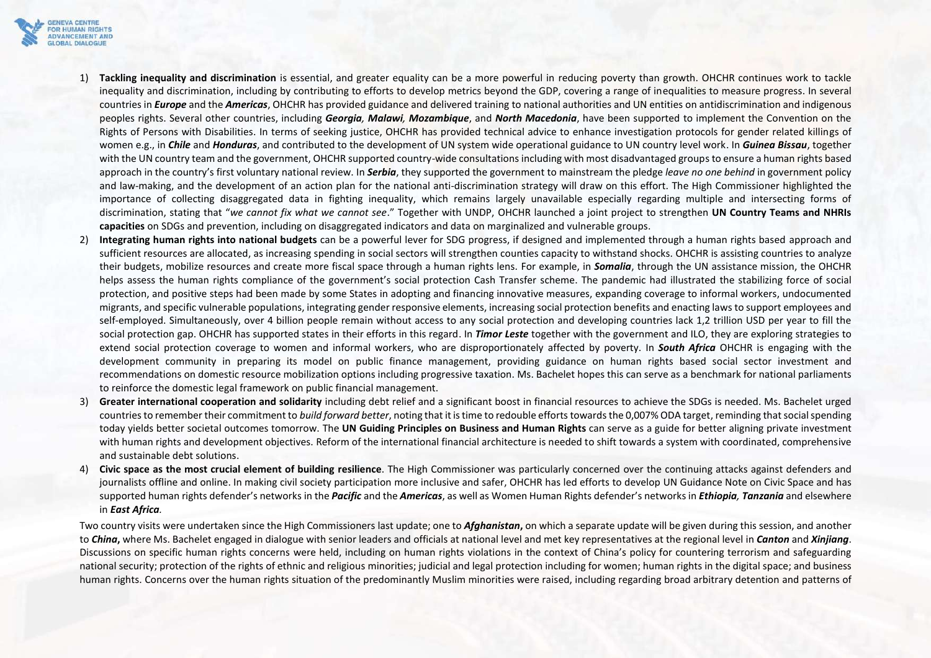

- 1) **Tackling inequality and discrimination** is essential, and greater equality can be a more powerful in reducing poverty than growth. OHCHR continues work to tackle inequality and discrimination, including by contributing to efforts to develop metrics beyond the GDP, covering a range of inequalities to measure progress. In several countries in *Europe* and the *Americas*, OHCHR has provided guidance and delivered training to national authorities and UN entities on antidiscrimination and indigenous peoples rights. Several other countries, including *Georgia, Malawi, Mozambique*, and *North Macedonia*, have been supported to implement the Convention on the Rights of Persons with Disabilities. In terms of seeking justice, OHCHR has provided technical advice to enhance investigation protocols for gender related killings of women e.g., in *Chile* and *Honduras*, and contributed to the development of UN system wide operational guidance to UN country level work. In *Guinea Bissau*, together with the UN country team and the government, OHCHR supported country-wide consultations including with most disadvantaged groups to ensure a human rights based approach in the country's first voluntary national review. In *Serbia*, they supported the government to mainstream the pledge *leave no one behind* in government policy and law-making, and the development of an action plan for the national anti-discrimination strategy will draw on this effort. The High Commissioner highlighted the importance of collecting disaggregated data in fighting inequality, which remains largely unavailable especially regarding multiple and intersecting forms of discrimination, stating that "*we cannot fix what we cannot see*." Together with UNDP, OHCHR launched a joint project to strengthen **UN Country Teams and NHRIs capacities** on SDGs and prevention, including on disaggregated indicators and data on marginalized and vulnerable groups.
- 2) **Integrating human rights into national budgets** can be a powerful lever for SDG progress, if designed and implemented through a human rights based approach and sufficient resources are allocated, as increasing spending in social sectors will strengthen counties capacity to withstand shocks. OHCHR is assisting countries to analyze their budgets, mobilize resources and create more fiscal space through a human rights lens. For example, in *Somalia*, through the UN assistance mission, the OHCHR helps assess the human rights compliance of the government's social protection Cash Transfer scheme. The pandemic had illustrated the stabilizing force of social protection, and positive steps had been made by some States in adopting and financing innovative measures, expanding coverage to informal workers, undocumented migrants, and specific vulnerable populations, integrating gender responsive elements, increasing social protection benefits and enacting laws to support employees and self-employed. Simultaneously, over 4 billion people remain without access to any social protection and developing countries lack 1,2 trillion USD per year to fill the social protection gap. OHCHR has supported states in their efforts in this regard. In *Timor Leste* together with the government and ILO, they are exploring strategies to extend social protection coverage to women and informal workers, who are disproportionately affected by poverty. In *South Africa* OHCHR is engaging with the development community in preparing its model on public finance management, providing guidance on human rights based social sector investment and recommendations on domestic resource mobilization options including progressive taxation. Ms. Bachelet hopes this can serve as a benchmark for national parliaments to reinforce the domestic legal framework on public financial management.
- 3) **Greater international cooperation and solidarity** including debt relief and a significant boost in financial resources to achieve the SDGs is needed. Ms. Bachelet urged countries to remember their commitment to *build forward better*, noting that it is time to redouble efforts towards the 0,007% ODA target, reminding that social spending today yields better societal outcomes tomorrow. The **UN Guiding Principles on Business and Human Rights** can serve as a guide for better aligning private investment with human rights and development objectives. Reform of the international financial architecture is needed to shift towards a system with coordinated, comprehensive and sustainable debt solutions.
- 4) **Civic space as the most crucial element of building resilience**. The High Commissioner was particularly concerned over the continuing attacks against defenders and journalists offline and online. In making civil society participation more inclusive and safer, OHCHR has led efforts to develop UN Guidance Note on Civic Space and has supported human rights defender's networks in the *Pacific* and the *Americas*, as well as Women Human Rights defender's networks in *Ethiopia, Tanzania* and elsewhere in *East Africa.*

Two country visits were undertaken since the High Commissioners last update; one to *Afghanistan***,** on which a separate update will be given during this session, and another to *China***,** where Ms. Bachelet engaged in dialogue with senior leaders and officials at national level and met key representatives at the regional level in *Canton* and *Xinjiang*. Discussions on specific human rights concerns were held, including on human rights violations in the context of China's policy for countering terrorism and safeguarding national security; protection of the rights of ethnic and religious minorities; judicial and legal protection including for women; human rights in the digital space; and business human rights. Concerns over the human rights situation of the predominantly Muslim minorities were raised, including regarding broad arbitrary detention and patterns of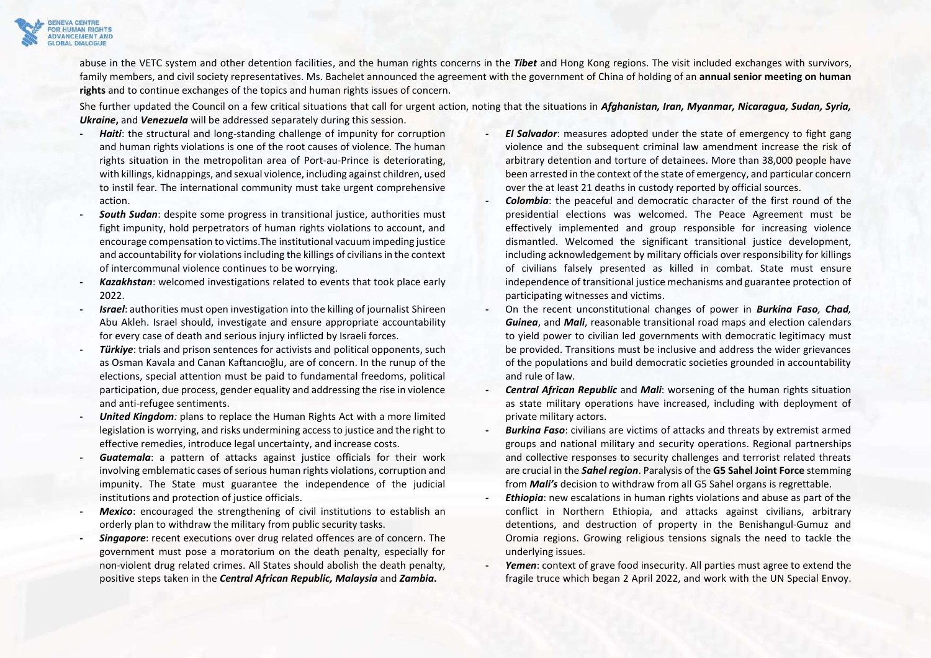

abuse in the VETC system and other detention facilities, and the human rights concerns in the *Tibet* and Hong Kong regions. The visit included exchanges with survivors, family members, and civil society representatives. Ms. Bachelet announced the agreement with the government of China of holding of an **annual senior meeting on human rights** and to continue exchanges of the topics and human rights issues of concern.

She further updated the Council on a few critical situations that call for urgent action, noting that the situations in *Afghanistan, Iran, Myanmar, Nicaragua, Sudan, Syria, Ukraine***,** and *Venezuela* will be addressed separately during this session.

- **-** *Haiti*: the structural and long-standing challenge of impunity for corruption and human rights violations is one of the root causes of violence. The human rights situation in the metropolitan area of Port-au-Prince is deteriorating, with killings, kidnappings, and sexual violence, including against children, used to instil fear. The international community must take urgent comprehensive action.
- **-** *South Sudan*: despite some progress in transitional justice, authorities must fight impunity, hold perpetrators of human rights violations to account, and encourage compensation to victims.The institutional vacuum impeding justice and accountability for violations including the killings of civilians in the context of intercommunal violence continues to be worrying.
- **-** *Kazakhstan*: welcomed investigations related to events that took place early 2022.
- **-** *Israel*: authorities must open investigation into the killing of journalist Shireen Abu Akleh. Israel should, investigate and ensure appropriate accountability for every case of death and serious injury inflicted by Israeli forces.
- **-** *Türkiye*: trials and prison sentences for activists and political opponents, such as Osman Kavala and Canan Kaftancıoğlu, are of concern. In the runup of the elections, special attention must be paid to fundamental freedoms, political participation, due process, gender equality and addressing the rise in violence and anti-refugee sentiments.
- **-** *United Kingdom:* plans to replace the Human Rights Act with a more limited legislation is worrying, and risks undermining access to justice and the right to effective remedies, introduce legal uncertainty, and increase costs.
- **-** *Guatemala*: a pattern of attacks against justice officials for their work involving emblematic cases of serious human rights violations, corruption and impunity. The State must guarantee the independence of the judicial institutions and protection of justice officials.
- **Mexico:** encouraged the strengthening of civil institutions to establish an orderly plan to withdraw the military from public security tasks.
- **-** *Singapore*: recent executions over drug related offences are of concern. The government must pose a moratorium on the death penalty, especially for non-violent drug related crimes. All States should abolish the death penalty, positive steps taken in the *Central African Republic, Malaysia* and *Zambia***.**
- **-** *El Salvador*: measures adopted under the state of emergency to fight gang violence and the subsequent criminal law amendment increase the risk of arbitrary detention and torture of detainees. More than 38,000 people have been arrested in the context of the state of emergency, and particular concern over the at least 21 deaths in custody reported by official sources.
- **-** *Colombia*: the peaceful and democratic character of the first round of the presidential elections was welcomed. The Peace Agreement must be effectively implemented and group responsible for increasing violence dismantled. Welcomed the significant transitional justice development, including acknowledgement by military officials over responsibility for killings of civilians falsely presented as killed in combat. State must ensure independence of transitional justice mechanisms and guarantee protection of participating witnesses and victims.
- **-** On the recent unconstitutional changes of power in *Burkina Faso, Chad, Guinea*, and *Mali*, reasonable transitional road maps and election calendars to yield power to civilian led governments with democratic legitimacy must be provided. Transitions must be inclusive and address the wider grievances of the populations and build democratic societies grounded in accountability and rule of law.
- **-** *Central African Republic* and *Mali*: worsening of the human rights situation as state military operations have increased, including with deployment of private military actors.
- **-** *Burkina Faso*: civilians are victims of attacks and threats by extremist armed groups and national military and security operations. Regional partnerships and collective responses to security challenges and terrorist related threats are crucial in the *Sahel region*. Paralysis of the **G5 Sahel Joint Force** stemming from *Mali's* decision to withdraw from all G5 Sahel organs is regrettable.
- **-** *Ethiopia*: new escalations in human rights violations and abuse as part of the conflict in Northern Ethiopia, and attacks against civilians, arbitrary detentions, and destruction of property in the Benishangul-Gumuz and Oromia regions. Growing religious tensions signals the need to tackle the underlying issues.
- **-** *Yemen*: context of grave food insecurity. All parties must agree to extend the fragile truce which began 2 April 2022, and work with the UN Special Envoy.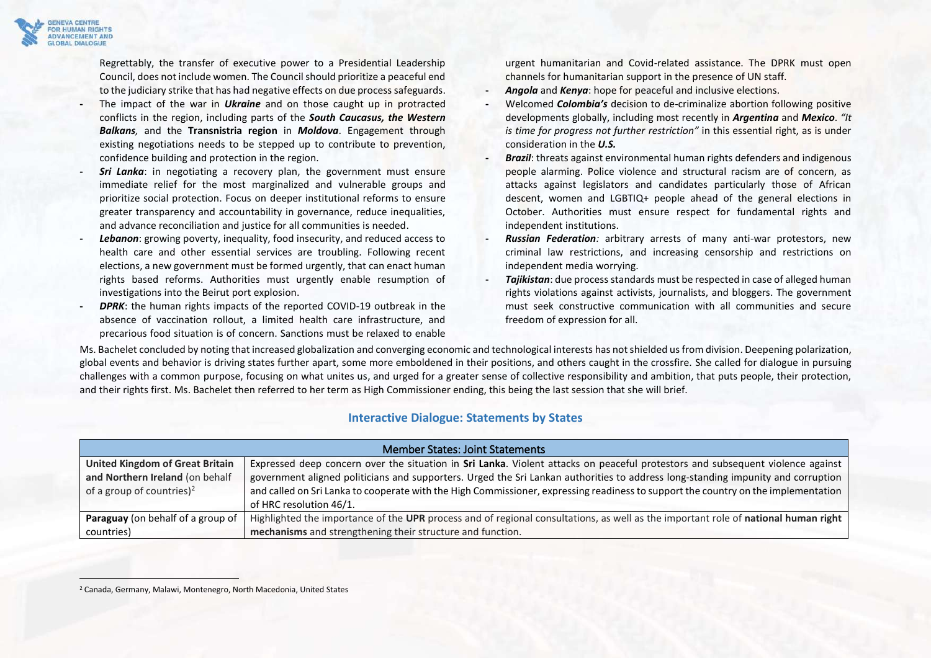

Regrettably, the transfer of executive power to a Presidential Leadership Council, does not include women. The Council should prioritize a peaceful end to the judiciary strike that has had negative effects on due process safeguards.

- **-** The impact of the war in *Ukraine* and on those caught up in protracted conflicts in the region, including parts of the *South Caucasus, the Western Balkans,* and the **Transnistria region** in *Moldova*. Engagement through existing negotiations needs to be stepped up to contribute to prevention, confidence building and protection in the region.
- **-** *Sri Lanka*: in negotiating a recovery plan, the government must ensure immediate relief for the most marginalized and vulnerable groups and prioritize social protection. Focus on deeper institutional reforms to ensure greater transparency and accountability in governance, reduce inequalities, and advance reconciliation and justice for all communities is needed.
- **-** *Lebanon*: growing poverty, inequality, food insecurity, and reduced access to health care and other essential services are troubling. Following recent elections, a new government must be formed urgently, that can enact human rights based reforms. Authorities must urgently enable resumption of investigations into the Beirut port explosion.
- **DPRK:** the human rights impacts of the reported COVID-19 outbreak in the absence of vaccination rollout, a limited health care infrastructure, and precarious food situation is of concern. Sanctions must be relaxed to enable

urgent humanitarian and Covid-related assistance. The DPRK must open channels for humanitarian support in the presence of UN staff.

- **-** *Angola* and *Kenya*: hope for peaceful and inclusive elections.
- **-** Welcomed *Colombia's* decision to de-criminalize abortion following positive developments globally, including most recently in *Argentina* and *Mexico*. *"It is time for progress not further restriction"* in this essential right, as is under consideration in the *U.S.*
- **-** *Brazil*: threats against environmental human rights defenders and indigenous people alarming. Police violence and structural racism are of concern, as attacks against legislators and candidates particularly those of African descent, women and LGBTIQ+ people ahead of the general elections in October. Authorities must ensure respect for fundamental rights and independent institutions.
- **-** *Russian Federation:* arbitrary arrests of many anti-war protestors, new criminal law restrictions, and increasing censorship and restrictions on independent media worrying.
- **-** *Tajikistan*: due process standards must be respected in case of alleged human rights violations against activists, journalists, and bloggers. The government must seek constructive communication with all communities and secure freedom of expression for all.

Ms. Bachelet concluded by noting that increased globalization and converging economic and technological interests has not shielded usfrom division. Deepening polarization, global events and behavior is driving states further apart, some more emboldened in their positions, and others caught in the crossfire. She called for dialogue in pursuing challenges with a common purpose, focusing on what unites us, and urged for a greater sense of collective responsibility and ambition, that puts people, their protection, and their rights first. Ms. Bachelet then referred to her term as High Commissioner ending, this being the last session that she will brief.

### **Interactive Dialogue: Statements by States**

<span id="page-3-1"></span><span id="page-3-0"></span>

| <b>Member States: Joint Statements</b>   |                                                                                                                                    |
|------------------------------------------|------------------------------------------------------------------------------------------------------------------------------------|
| <b>United Kingdom of Great Britain</b>   | Expressed deep concern over the situation in Sri Lanka. Violent attacks on peaceful protestors and subsequent violence against     |
| and Northern Ireland (on behalf          | government aligned politicians and supporters. Urged the Sri Lankan authorities to address long-standing impunity and corruption   |
| of a group of countries) <sup>2</sup>    | and called on Sri Lanka to cooperate with the High Commissioner, expressing readiness to support the country on the implementation |
|                                          | of HRC resolution 46/1.                                                                                                            |
| <b>Paraguay</b> (on behalf of a group of | Highlighted the importance of the UPR process and of regional consultations, as well as the important role of national human right |
| countries)                               | mechanisms and strengthening their structure and function.                                                                         |

<sup>2</sup> Canada, Germany, Malawi, Montenegro, North Macedonia, United States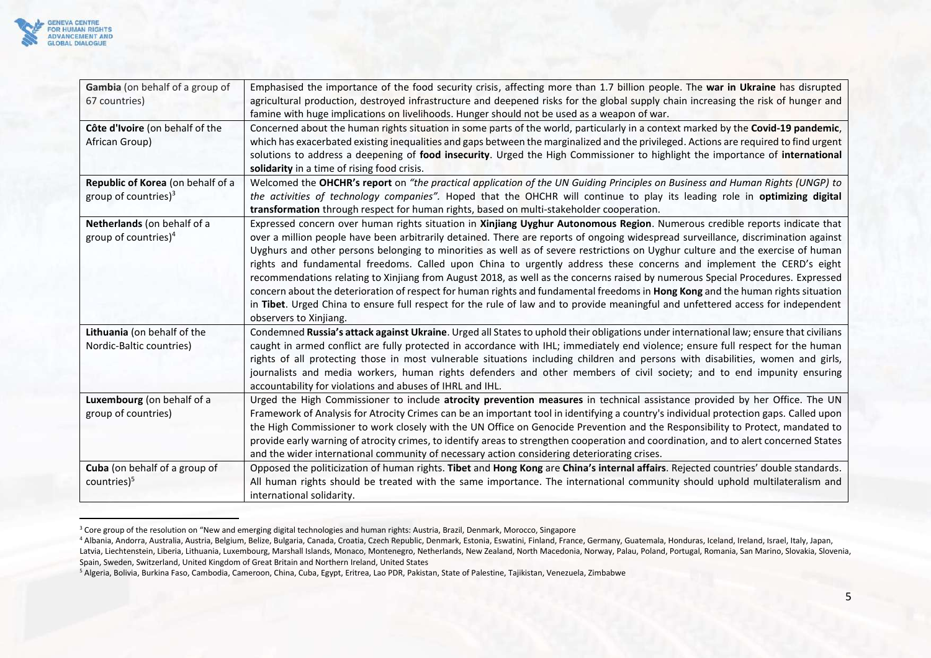

| Gambia (on behalf of a group of   | Emphasised the importance of the food security crisis, affecting more than 1.7 billion people. The war in Ukraine has disrupted        |
|-----------------------------------|----------------------------------------------------------------------------------------------------------------------------------------|
| 67 countries)                     | agricultural production, destroyed infrastructure and deepened risks for the global supply chain increasing the risk of hunger and     |
|                                   | famine with huge implications on livelihoods. Hunger should not be used as a weapon of war.                                            |
| Côte d'Ivoire (on behalf of the   | Concerned about the human rights situation in some parts of the world, particularly in a context marked by the Covid-19 pandemic,      |
| African Group)                    | which has exacerbated existing inequalities and gaps between the marginalized and the privileged. Actions are required to find urgent  |
|                                   | solutions to address a deepening of food insecurity. Urged the High Commissioner to highlight the importance of international          |
|                                   | solidarity in a time of rising food crisis.                                                                                            |
| Republic of Korea (on behalf of a | Welcomed the OHCHR's report on "the practical application of the UN Guiding Principles on Business and Human Rights (UNGP) to          |
| group of countries) $3$           | the activities of technology companies". Hoped that the OHCHR will continue to play its leading role in optimizing digital             |
|                                   | transformation through respect for human rights, based on multi-stakeholder cooperation.                                               |
| Netherlands (on behalf of a       | Expressed concern over human rights situation in Xinjiang Uyghur Autonomous Region. Numerous credible reports indicate that            |
| group of countries) $4$           | over a million people have been arbitrarily detained. There are reports of ongoing widespread surveillance, discrimination against     |
|                                   | Uyghurs and other persons belonging to minorities as well as of severe restrictions on Uyghur culture and the exercise of human        |
|                                   | rights and fundamental freedoms. Called upon China to urgently address these concerns and implement the CERD's eight                   |
|                                   | recommendations relating to Xinjiang from August 2018, as well as the concerns raised by numerous Special Procedures. Expressed        |
|                                   | concern about the deterioration of respect for human rights and fundamental freedoms in Hong Kong and the human rights situation       |
|                                   | in Tibet. Urged China to ensure full respect for the rule of law and to provide meaningful and unfettered access for independent       |
|                                   | observers to Xinjiang.                                                                                                                 |
| Lithuania (on behalf of the       | Condemned Russia's attack against Ukraine. Urged all States to uphold their obligations under international law; ensure that civilians |
| Nordic-Baltic countries)          | caught in armed conflict are fully protected in accordance with IHL; immediately end violence; ensure full respect for the human       |
|                                   | rights of all protecting those in most vulnerable situations including children and persons with disabilities, women and girls,        |
|                                   | journalists and media workers, human rights defenders and other members of civil society; and to end impunity ensuring                 |
|                                   | accountability for violations and abuses of IHRL and IHL.                                                                              |
| Luxembourg (on behalf of a        | Urged the High Commissioner to include atrocity prevention measures in technical assistance provided by her Office. The UN             |
| group of countries)               | Framework of Analysis for Atrocity Crimes can be an important tool in identifying a country's individual protection gaps. Called upon  |
|                                   | the High Commissioner to work closely with the UN Office on Genocide Prevention and the Responsibility to Protect, mandated to         |
|                                   | provide early warning of atrocity crimes, to identify areas to strengthen cooperation and coordination, and to alert concerned States  |
|                                   | and the wider international community of necessary action considering deteriorating crises.                                            |
| Cuba (on behalf of a group of     | Opposed the politicization of human rights. Tibet and Hong Kong are China's internal affairs. Rejected countries' double standards.    |
| countries $)^5$                   | All human rights should be treated with the same importance. The international community should uphold multilateralism and             |
|                                   | international solidarity.                                                                                                              |

<sup>&</sup>lt;sup>3</sup> Core group of the resolution on "New and emerging digital technologies and human rights: Austria, Brazil, Denmark, Morocco, Singapore

<sup>&</sup>lt;sup>4</sup> Albania, Andorra, Australia, Austria, Belgium, Belize, Bulgaria, Canada, Croatia, Czech Republic, Denmark, Estonia, Eswatini, Finland, France, Germany, Guatemala, Honduras, Iceland, Ireland, Israel, Italy, Japan, Latvia, Liechtenstein, Liberia, Lithuania, Luxembourg, Marshall Islands, Monaco, Montenegro, Netherlands, New Zealand, North Macedonia, Norway, Palau, Poland, Portugal, Romania, San Marino, Slovakia, Slovenia, Spain, Sweden, Switzerland, United Kingdom of Great Britain and Northern Ireland, United States

<sup>5</sup> [Algeria, Bolivia, Burkina Faso, Cambodia, Cameroon, China, Cuba, Egypt, Eritrea, Lao PDR, Pakistan, State of Palestine, Tajikistan, Venezuela, Zimbabwe](https://hrcmeetings.ohchr.org/HRCSessions/HRCDocuments/59/SP/46340_55_cb65231e_af40_49b7_b2ba_a0e03726caa0.docx)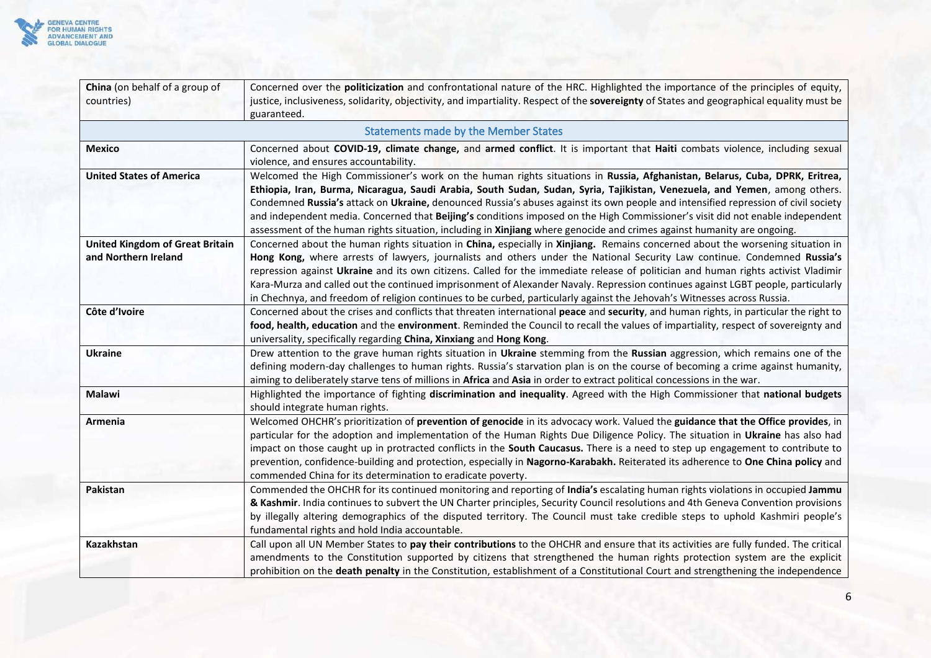

<span id="page-5-0"></span>

| China (on behalf of a group of<br>countries)                   | Concerned over the politicization and confrontational nature of the HRC. Highlighted the importance of the principles of equity,<br>justice, inclusiveness, solidarity, objectivity, and impartiality. Respect of the sovereignty of States and geographical equality must be<br>guaranteed.                                                                                                                                                                                                                                                                                                                                                                      |
|----------------------------------------------------------------|-------------------------------------------------------------------------------------------------------------------------------------------------------------------------------------------------------------------------------------------------------------------------------------------------------------------------------------------------------------------------------------------------------------------------------------------------------------------------------------------------------------------------------------------------------------------------------------------------------------------------------------------------------------------|
|                                                                | <b>Statements made by the Member States</b>                                                                                                                                                                                                                                                                                                                                                                                                                                                                                                                                                                                                                       |
| <b>Mexico</b>                                                  | Concerned about COVID-19, climate change, and armed conflict. It is important that Haiti combats violence, including sexual<br>violence, and ensures accountability.                                                                                                                                                                                                                                                                                                                                                                                                                                                                                              |
| <b>United States of America</b>                                | Welcomed the High Commissioner's work on the human rights situations in Russia, Afghanistan, Belarus, Cuba, DPRK, Eritrea,<br>Ethiopia, Iran, Burma, Nicaragua, Saudi Arabia, South Sudan, Sudan, Syria, Tajikistan, Venezuela, and Yemen, among others.<br>Condemned Russia's attack on Ukraine, denounced Russia's abuses against its own people and intensified repression of civil society<br>and independent media. Concerned that Beijing's conditions imposed on the High Commissioner's visit did not enable independent<br>assessment of the human rights situation, including in Xinjiang where genocide and crimes against humanity are ongoing.       |
| <b>United Kingdom of Great Britain</b><br>and Northern Ireland | Concerned about the human rights situation in China, especially in Xinjiang. Remains concerned about the worsening situation in<br>Hong Kong, where arrests of lawyers, journalists and others under the National Security Law continue. Condemned Russia's<br>repression against Ukraine and its own citizens. Called for the immediate release of politician and human rights activist Vladimir<br>Kara-Murza and called out the continued imprisonment of Alexander Navaly. Repression continues against LGBT people, particularly<br>in Chechnya, and freedom of religion continues to be curbed, particularly against the Jehovah's Witnesses across Russia. |
| Côte d'Ivoire                                                  | Concerned about the crises and conflicts that threaten international peace and security, and human rights, in particular the right to<br>food, health, education and the environment. Reminded the Council to recall the values of impartiality, respect of sovereignty and<br>universality, specifically regarding China, Xinxiang and Hong Kong.                                                                                                                                                                                                                                                                                                                |
| <b>Ukraine</b>                                                 | Drew attention to the grave human rights situation in Ukraine stemming from the Russian aggression, which remains one of the<br>defining modern-day challenges to human rights. Russia's starvation plan is on the course of becoming a crime against humanity,<br>aiming to deliberately starve tens of millions in Africa and Asia in order to extract political concessions in the war.                                                                                                                                                                                                                                                                        |
| Malawi                                                         | Highlighted the importance of fighting discrimination and inequality. Agreed with the High Commissioner that national budgets<br>should integrate human rights.                                                                                                                                                                                                                                                                                                                                                                                                                                                                                                   |
| Armenia                                                        | Welcomed OHCHR's prioritization of prevention of genocide in its advocacy work. Valued the guidance that the Office provides, in<br>particular for the adoption and implementation of the Human Rights Due Diligence Policy. The situation in Ukraine has also had<br>impact on those caught up in protracted conflicts in the South Caucasus. There is a need to step up engagement to contribute to<br>prevention, confidence-building and protection, especially in Nagorno-Karabakh. Reiterated its adherence to One China policy and<br>commended China for its determination to eradicate poverty.                                                          |
| Pakistan                                                       | Commended the OHCHR for its continued monitoring and reporting of India's escalating human rights violations in occupied Jammu<br>& Kashmir. India continues to subvert the UN Charter principles, Security Council resolutions and 4th Geneva Convention provisions<br>by illegally altering demographics of the disputed territory. The Council must take credible steps to uphold Kashmiri people's<br>fundamental rights and hold India accountable.                                                                                                                                                                                                          |
| Kazakhstan                                                     | Call upon all UN Member States to pay their contributions to the OHCHR and ensure that its activities are fully funded. The critical<br>amendments to the Constitution supported by citizens that strengthened the human rights protection system are the explicit<br>prohibition on the death penalty in the Constitution, establishment of a Constitutional Court and strengthening the independence                                                                                                                                                                                                                                                            |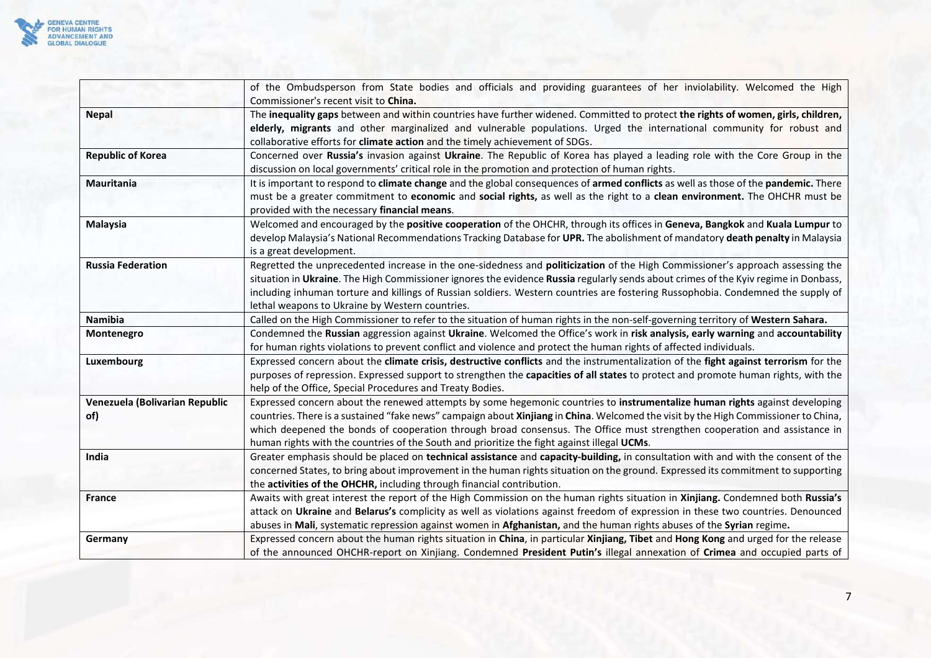

|                                | of the Ombudsperson from State bodies and officials and providing guarantees of her inviolability. Welcomed the High                 |
|--------------------------------|--------------------------------------------------------------------------------------------------------------------------------------|
|                                | Commissioner's recent visit to China.                                                                                                |
| <b>Nepal</b>                   | The inequality gaps between and within countries have further widened. Committed to protect the rights of women, girls, children,    |
|                                | elderly, migrants and other marginalized and vulnerable populations. Urged the international community for robust and                |
|                                | collaborative efforts for climate action and the timely achievement of SDGs.                                                         |
| <b>Republic of Korea</b>       | Concerned over Russia's invasion against Ukraine. The Republic of Korea has played a leading role with the Core Group in the         |
|                                | discussion on local governments' critical role in the promotion and protection of human rights.                                      |
| Mauritania                     | It is important to respond to climate change and the global consequences of armed conflicts as well as those of the pandemic. There  |
|                                | must be a greater commitment to economic and social rights, as well as the right to a clean environment. The OHCHR must be           |
|                                | provided with the necessary financial means.                                                                                         |
| <b>Malaysia</b>                | Welcomed and encouraged by the positive cooperation of the OHCHR, through its offices in Geneva, Bangkok and Kuala Lumpur to         |
|                                | develop Malaysia's National Recommendations Tracking Database for UPR. The abolishment of mandatory death penalty in Malaysia        |
|                                | is a great development.                                                                                                              |
| <b>Russia Federation</b>       | Regretted the unprecedented increase in the one-sidedness and politicization of the High Commissioner's approach assessing the       |
|                                | situation in Ukraine. The High Commissioner ignores the evidence Russia regularly sends about crimes of the Kyiv regime in Donbass,  |
|                                | including inhuman torture and killings of Russian soldiers. Western countries are fostering Russophobia. Condemned the supply of     |
|                                | lethal weapons to Ukraine by Western countries.                                                                                      |
| Namibia                        | Called on the High Commissioner to refer to the situation of human rights in the non-self-governing territory of Western Sahara.     |
| Montenegro                     | Condemned the Russian aggression against Ukraine. Welcomed the Office's work in risk analysis, early warning and accountability      |
|                                | for human rights violations to prevent conflict and violence and protect the human rights of affected individuals.                   |
| Luxembourg                     | Expressed concern about the climate crisis, destructive conflicts and the instrumentalization of the fight against terrorism for the |
|                                | purposes of repression. Expressed support to strengthen the capacities of all states to protect and promote human rights, with the   |
|                                | help of the Office, Special Procedures and Treaty Bodies.                                                                            |
| Venezuela (Bolivarian Republic | Expressed concern about the renewed attempts by some hegemonic countries to instrumentalize human rights against developing          |
| of)                            | countries. There is a sustained "fake news" campaign about Xinjiang in China. Welcomed the visit by the High Commissioner to China,  |
|                                | which deepened the bonds of cooperation through broad consensus. The Office must strengthen cooperation and assistance in            |
|                                | human rights with the countries of the South and prioritize the fight against illegal UCMs.                                          |
| India                          | Greater emphasis should be placed on technical assistance and capacity-building, in consultation with and with the consent of the    |
|                                | concerned States, to bring about improvement in the human rights situation on the ground. Expressed its commitment to supporting     |
|                                | the activities of the OHCHR, including through financial contribution.                                                               |
| France                         | Awaits with great interest the report of the High Commission on the human rights situation in Xinjiang. Condemned both Russia's      |
|                                | attack on Ukraine and Belarus's complicity as well as violations against freedom of expression in these two countries. Denounced     |
|                                | abuses in Mali, systematic repression against women in Afghanistan, and the human rights abuses of the Syrian regime.                |
| Germany                        | Expressed concern about the human rights situation in China, in particular Xinjiang, Tibet and Hong Kong and urged for the release   |
|                                | of the announced OHCHR-report on Xinjiang. Condemned President Putin's illegal annexation of Crimea and occupied parts of            |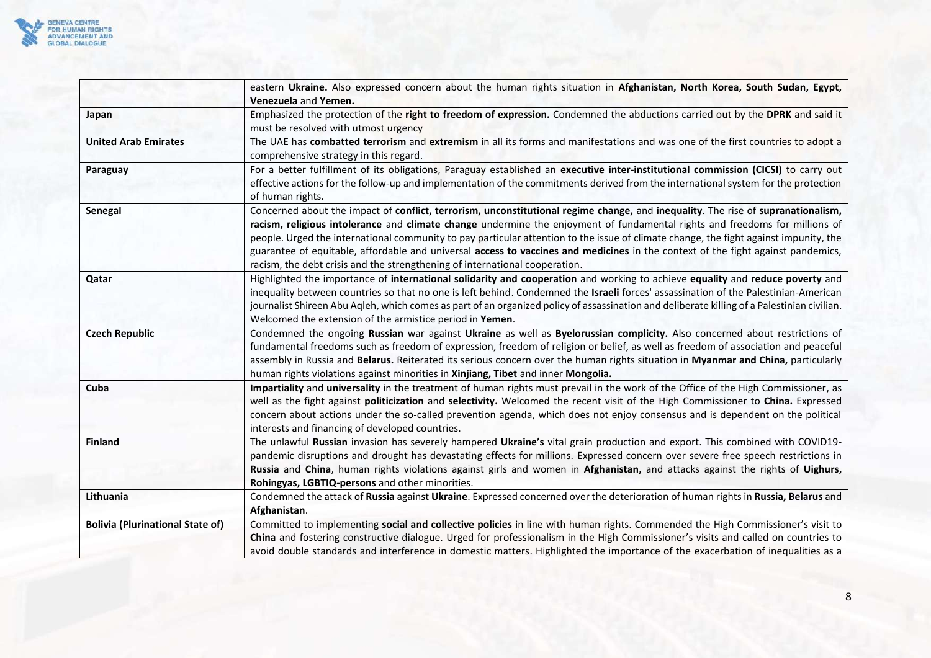

|                                         | eastern Ukraine. Also expressed concern about the human rights situation in Afghanistan, North Korea, South Sudan, Egypt,<br>Venezuela and Yemen.                                                                                                                                                                                                                                                                                                                                                                                                                                                                           |
|-----------------------------------------|-----------------------------------------------------------------------------------------------------------------------------------------------------------------------------------------------------------------------------------------------------------------------------------------------------------------------------------------------------------------------------------------------------------------------------------------------------------------------------------------------------------------------------------------------------------------------------------------------------------------------------|
| Japan                                   | Emphasized the protection of the right to freedom of expression. Condemned the abductions carried out by the DPRK and said it<br>must be resolved with utmost urgency                                                                                                                                                                                                                                                                                                                                                                                                                                                       |
| <b>United Arab Emirates</b>             | The UAE has combatted terrorism and extremism in all its forms and manifestations and was one of the first countries to adopt a<br>comprehensive strategy in this regard.                                                                                                                                                                                                                                                                                                                                                                                                                                                   |
| Paraguay                                | For a better fulfillment of its obligations, Paraguay established an executive inter-institutional commission (CICSI) to carry out<br>effective actions for the follow-up and implementation of the commitments derived from the international system for the protection<br>of human rights.                                                                                                                                                                                                                                                                                                                                |
| Senegal                                 | Concerned about the impact of conflict, terrorism, unconstitutional regime change, and inequality. The rise of supranationalism,<br>racism, religious intolerance and climate change undermine the enjoyment of fundamental rights and freedoms for millions of<br>people. Urged the international community to pay particular attention to the issue of climate change, the fight against impunity, the<br>guarantee of equitable, affordable and universal access to vaccines and medicines in the context of the fight against pandemics,<br>racism, the debt crisis and the strengthening of international cooperation. |
| Qatar                                   | Highlighted the importance of international solidarity and cooperation and working to achieve equality and reduce poverty and<br>inequality between countries so that no one is left behind. Condemned the Israeli forces' assassination of the Palestinian-American<br>journalist Shireen Abu Aqleh, which comes as part of an organized policy of assassination and deliberate killing of a Palestinian civilian.<br>Welcomed the extension of the armistice period in Yemen.                                                                                                                                             |
| <b>Czech Republic</b>                   | Condemned the ongoing Russian war against Ukraine as well as Byelorussian complicity. Also concerned about restrictions of<br>fundamental freedoms such as freedom of expression, freedom of religion or belief, as well as freedom of association and peaceful<br>assembly in Russia and Belarus. Reiterated its serious concern over the human rights situation in Myanmar and China, particularly<br>human rights violations against minorities in Xinjiang, Tibet and inner Mongolia.                                                                                                                                   |
| Cuba                                    | Impartiality and universality in the treatment of human rights must prevail in the work of the Office of the High Commissioner, as<br>well as the fight against politicization and selectivity. Welcomed the recent visit of the High Commissioner to China. Expressed<br>concern about actions under the so-called prevention agenda, which does not enjoy consensus and is dependent on the political<br>interests and financing of developed countries.                                                                                                                                                                  |
| <b>Finland</b>                          | The unlawful Russian invasion has severely hampered Ukraine's vital grain production and export. This combined with COVID19-<br>pandemic disruptions and drought has devastating effects for millions. Expressed concern over severe free speech restrictions in<br>Russia and China, human rights violations against girls and women in Afghanistan, and attacks against the rights of Uighurs,<br>Rohingyas, LGBTIQ-persons and other minorities.                                                                                                                                                                         |
| Lithuania                               | Condemned the attack of Russia against Ukraine. Expressed concerned over the deterioration of human rights in Russia, Belarus and<br>Afghanistan.                                                                                                                                                                                                                                                                                                                                                                                                                                                                           |
| <b>Bolivia (Plurinational State of)</b> | Committed to implementing social and collective policies in line with human rights. Commended the High Commissioner's visit to<br>China and fostering constructive dialogue. Urged for professionalism in the High Commissioner's visits and called on countries to<br>avoid double standards and interference in domestic matters. Highlighted the importance of the exacerbation of inequalities as a                                                                                                                                                                                                                     |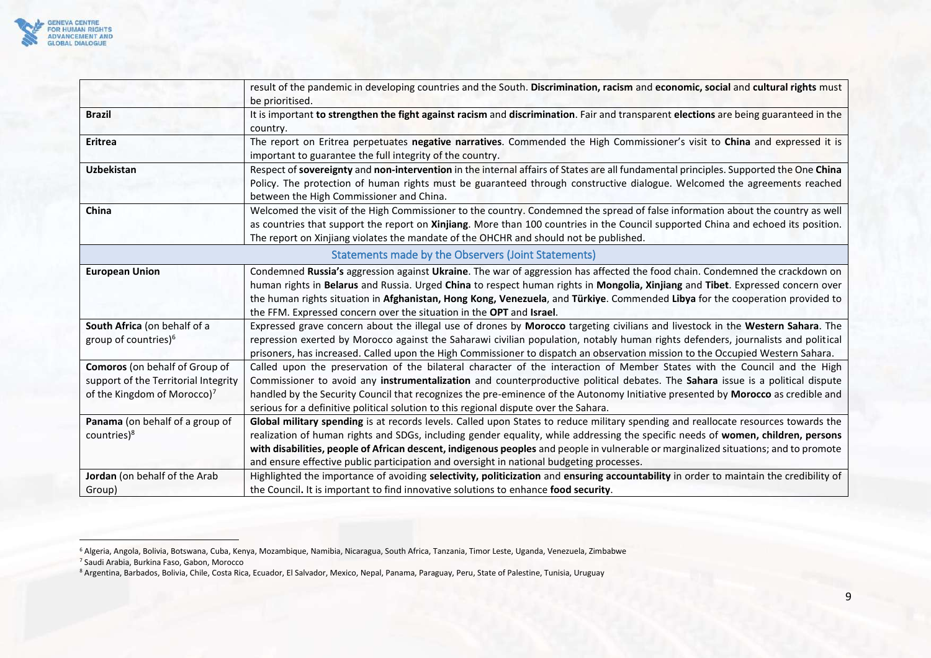

<span id="page-8-0"></span>

|                                                                                                                   | result of the pandemic in developing countries and the South. Discrimination, racism and economic, social and cultural rights must<br>be prioritised.                                                                                                                                                                                                                                                                                                                                                      |
|-------------------------------------------------------------------------------------------------------------------|------------------------------------------------------------------------------------------------------------------------------------------------------------------------------------------------------------------------------------------------------------------------------------------------------------------------------------------------------------------------------------------------------------------------------------------------------------------------------------------------------------|
| <b>Brazil</b>                                                                                                     | It is important to strengthen the fight against racism and discrimination. Fair and transparent elections are being guaranteed in the<br>country.                                                                                                                                                                                                                                                                                                                                                          |
| Eritrea                                                                                                           | The report on Eritrea perpetuates negative narratives. Commended the High Commissioner's visit to China and expressed it is<br>important to guarantee the full integrity of the country.                                                                                                                                                                                                                                                                                                                   |
| <b>Uzbekistan</b>                                                                                                 | Respect of sovereignty and non-intervention in the internal affairs of States are all fundamental principles. Supported the One China<br>Policy. The protection of human rights must be guaranteed through constructive dialogue. Welcomed the agreements reached<br>between the High Commissioner and China.                                                                                                                                                                                              |
| China                                                                                                             | Welcomed the visit of the High Commissioner to the country. Condemned the spread of false information about the country as well<br>as countries that support the report on Xinjiang. More than 100 countries in the Council supported China and echoed its position.<br>The report on Xinjiang violates the mandate of the OHCHR and should not be published.                                                                                                                                              |
|                                                                                                                   | Statements made by the Observers (Joint Statements)                                                                                                                                                                                                                                                                                                                                                                                                                                                        |
| <b>European Union</b>                                                                                             | Condemned Russia's aggression against Ukraine. The war of aggression has affected the food chain. Condemned the crackdown on<br>human rights in Belarus and Russia. Urged China to respect human rights in Mongolia, Xinjiang and Tibet. Expressed concern over<br>the human rights situation in Afghanistan, Hong Kong, Venezuela, and Türkiye. Commended Libya for the cooperation provided to<br>the FFM. Expressed concern over the situation in the OPT and Israel.                                   |
| South Africa (on behalf of a<br>group of countries) <sup>6</sup>                                                  | Expressed grave concern about the illegal use of drones by Morocco targeting civilians and livestock in the Western Sahara. The<br>repression exerted by Morocco against the Saharawi civilian population, notably human rights defenders, journalists and political<br>prisoners, has increased. Called upon the High Commissioner to dispatch an observation mission to the Occupied Western Sahara.                                                                                                     |
| Comoros (on behalf of Group of<br>support of the Territorial Integrity<br>of the Kingdom of Morocco) <sup>7</sup> | Called upon the preservation of the bilateral character of the interaction of Member States with the Council and the High<br>Commissioner to avoid any instrumentalization and counterproductive political debates. The Sahara issue is a political dispute<br>handled by the Security Council that recognizes the pre-eminence of the Autonomy Initiative presented by Morocco as credible and<br>serious for a definitive political solution to this regional dispute over the Sahara.                   |
| Panama (on behalf of a group of<br>countries) <sup>8</sup>                                                        | Global military spending is at records levels. Called upon States to reduce military spending and reallocate resources towards the<br>realization of human rights and SDGs, including gender equality, while addressing the specific needs of women, children, persons<br>with disabilities, people of African descent, indigenous peoples and people in vulnerable or marginalized situations; and to promote<br>and ensure effective public participation and oversight in national budgeting processes. |
| Jordan (on behalf of the Arab<br>Group)                                                                           | Highlighted the importance of avoiding selectivity, politicization and ensuring accountability in order to maintain the credibility of<br>the Council. It is important to find innovative solutions to enhance food security.                                                                                                                                                                                                                                                                              |

<sup>6</sup> Algeria, Angola, Bolivia, Botswana, Cuba, Kenya, Mozambique, Namibia, Nicaragua, South Africa, Tanzania, Timor Leste, Uganda, Venezuela, Zimbabwe

<sup>7</sup> Saudi Arabia, Burkina Faso, Gabon, Morocco

<sup>&</sup>lt;sup>8</sup> Argentina, Barbados, Bolivia, Chile, Costa Rica, Ecuador, El Salvador, Mexico, Nepal, Panama, Paraguay, Peru, State of Palestine, Tunisia, Uruguay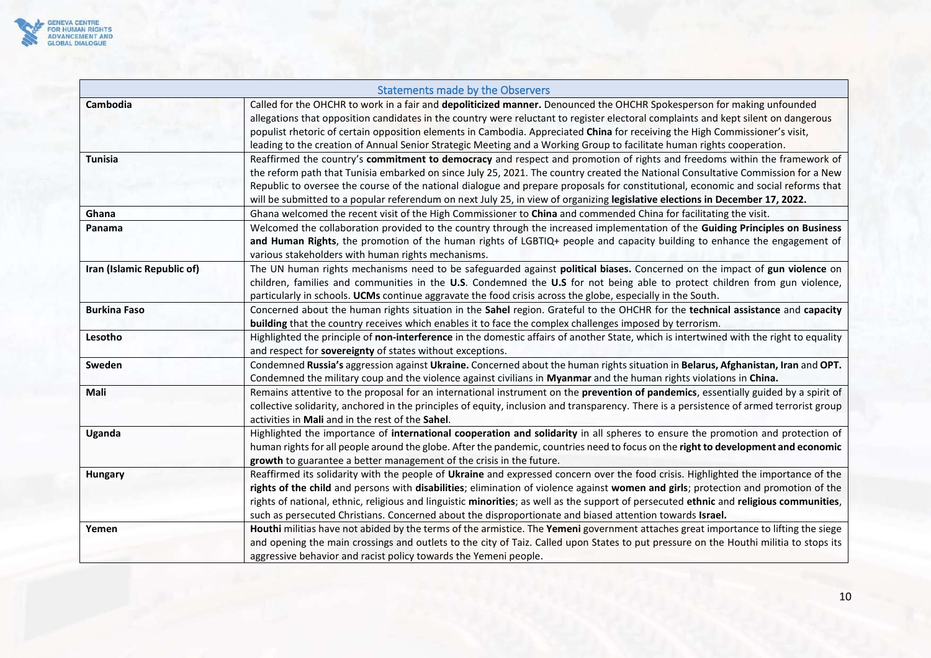

<span id="page-9-0"></span>

| Statements made by the Observers |                                                                                                                                                                                                                                                                                                                                                                                                                                                                                                                                     |
|----------------------------------|-------------------------------------------------------------------------------------------------------------------------------------------------------------------------------------------------------------------------------------------------------------------------------------------------------------------------------------------------------------------------------------------------------------------------------------------------------------------------------------------------------------------------------------|
| Cambodia                         | Called for the OHCHR to work in a fair and depoliticized manner. Denounced the OHCHR Spokesperson for making unfounded<br>allegations that opposition candidates in the country were reluctant to register electoral complaints and kept silent on dangerous<br>populist rhetoric of certain opposition elements in Cambodia. Appreciated China for receiving the High Commissioner's visit,<br>leading to the creation of Annual Senior Strategic Meeting and a Working Group to facilitate human rights cooperation.              |
| <b>Tunisia</b>                   | Reaffirmed the country's commitment to democracy and respect and promotion of rights and freedoms within the framework of<br>the reform path that Tunisia embarked on since July 25, 2021. The country created the National Consultative Commission for a New<br>Republic to oversee the course of the national dialogue and prepare proposals for constitutional, economic and social reforms that<br>will be submitted to a popular referendum on next July 25, in view of organizing legislative elections in December 17, 2022. |
| Ghana                            | Ghana welcomed the recent visit of the High Commissioner to China and commended China for facilitating the visit.                                                                                                                                                                                                                                                                                                                                                                                                                   |
| Panama                           | Welcomed the collaboration provided to the country through the increased implementation of the Guiding Principles on Business<br>and Human Rights, the promotion of the human rights of LGBTIQ+ people and capacity building to enhance the engagement of<br>various stakeholders with human rights mechanisms.                                                                                                                                                                                                                     |
| Iran (Islamic Republic of)       | The UN human rights mechanisms need to be safeguarded against political biases. Concerned on the impact of gun violence on<br>children, families and communities in the U.S. Condemned the U.S for not being able to protect children from gun violence,<br>particularly in schools. UCMs continue aggravate the food crisis across the globe, especially in the South.                                                                                                                                                             |
| <b>Burkina Faso</b>              | Concerned about the human rights situation in the Sahel region. Grateful to the OHCHR for the technical assistance and capacity<br>building that the country receives which enables it to face the complex challenges imposed by terrorism.                                                                                                                                                                                                                                                                                         |
| Lesotho                          | Highlighted the principle of non-interference in the domestic affairs of another State, which is intertwined with the right to equality<br>and respect for sovereignty of states without exceptions.                                                                                                                                                                                                                                                                                                                                |
| Sweden                           | Condemned Russia's aggression against Ukraine. Concerned about the human rights situation in Belarus, Afghanistan, Iran and OPT.<br>Condemned the military coup and the violence against civilians in Myanmar and the human rights violations in China.                                                                                                                                                                                                                                                                             |
| Mali                             | Remains attentive to the proposal for an international instrument on the prevention of pandemics, essentially guided by a spirit of<br>collective solidarity, anchored in the principles of equity, inclusion and transparency. There is a persistence of armed terrorist group<br>activities in Mali and in the rest of the Sahel.                                                                                                                                                                                                 |
| Uganda                           | Highlighted the importance of international cooperation and solidarity in all spheres to ensure the promotion and protection of<br>human rights for all people around the globe. After the pandemic, countries need to focus on the right to development and economic<br>growth to guarantee a better management of the crisis in the future.                                                                                                                                                                                       |
| <b>Hungary</b>                   | Reaffirmed its solidarity with the people of Ukraine and expressed concern over the food crisis. Highlighted the importance of the<br>rights of the child and persons with disabilities; elimination of violence against women and girls; protection and promotion of the<br>rights of national, ethnic, religious and linguistic minorities; as well as the support of persecuted ethnic and religious communities,<br>such as persecuted Christians. Concerned about the disproportionate and biased attention towards Israel.    |
| Yemen                            | Houthi militias have not abided by the terms of the armistice. The Yemeni government attaches great importance to lifting the siege<br>and opening the main crossings and outlets to the city of Taiz. Called upon States to put pressure on the Houthi militia to stops its<br>aggressive behavior and racist policy towards the Yemeni people.                                                                                                                                                                                    |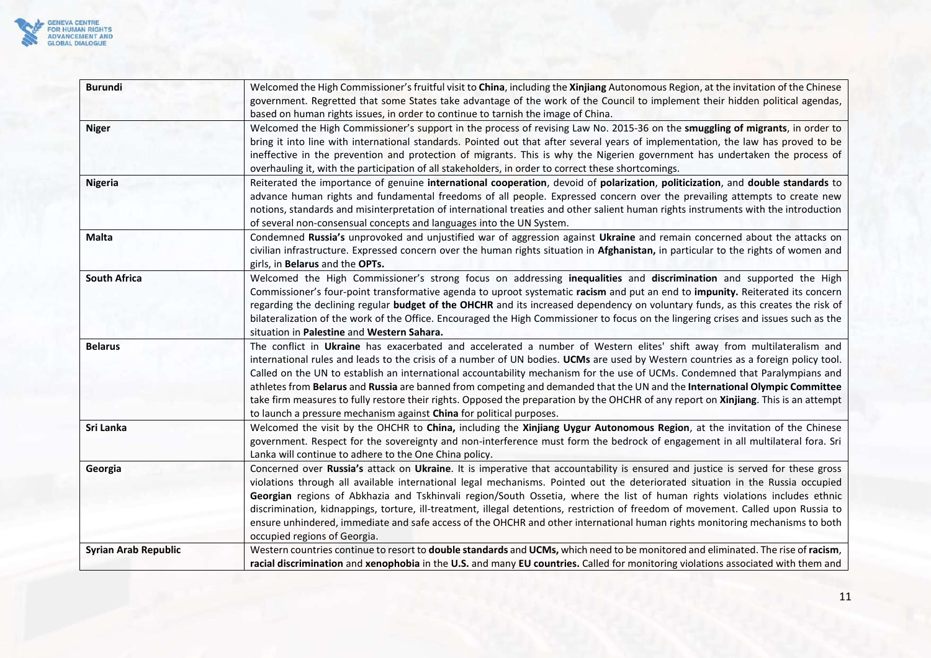

| <b>Burundi</b>              | Welcomed the High Commissioner's fruitful visit to China, including the Xinjiang Autonomous Region, at the invitation of the Chinese<br>government. Regretted that some States take advantage of the work of the Council to implement their hidden political agendas,                                                                                                                                                                                                                                                                                                                                                                                                                                                                        |
|-----------------------------|----------------------------------------------------------------------------------------------------------------------------------------------------------------------------------------------------------------------------------------------------------------------------------------------------------------------------------------------------------------------------------------------------------------------------------------------------------------------------------------------------------------------------------------------------------------------------------------------------------------------------------------------------------------------------------------------------------------------------------------------|
|                             | based on human rights issues, in order to continue to tarnish the image of China.                                                                                                                                                                                                                                                                                                                                                                                                                                                                                                                                                                                                                                                            |
| <b>Niger</b>                | Welcomed the High Commissioner's support in the process of revising Law No. 2015-36 on the smuggling of migrants, in order to<br>bring it into line with international standards. Pointed out that after several years of implementation, the law has proved to be<br>ineffective in the prevention and protection of migrants. This is why the Nigerien government has undertaken the process of<br>overhauling it, with the participation of all stakeholders, in order to correct these shortcomings.                                                                                                                                                                                                                                     |
| <b>Nigeria</b>              | Reiterated the importance of genuine international cooperation, devoid of polarization, politicization, and double standards to<br>advance human rights and fundamental freedoms of all people. Expressed concern over the prevailing attempts to create new<br>notions, standards and misinterpretation of international treaties and other salient human rights instruments with the introduction<br>of several non-consensual concepts and languages into the UN System.                                                                                                                                                                                                                                                                  |
| <b>Malta</b>                | Condemned Russia's unprovoked and unjustified war of aggression against Ukraine and remain concerned about the attacks on<br>civilian infrastructure. Expressed concern over the human rights situation in Afghanistan, in particular to the rights of women and<br>girls, in Belarus and the OPTs.                                                                                                                                                                                                                                                                                                                                                                                                                                          |
| <b>South Africa</b>         | Welcomed the High Commissioner's strong focus on addressing inequalities and discrimination and supported the High<br>Commissioner's four-point transformative agenda to uproot systematic racism and put an end to impunity. Reiterated its concern<br>regarding the declining regular budget of the OHCHR and its increased dependency on voluntary funds, as this creates the risk of<br>bilateralization of the work of the Office. Encouraged the High Commissioner to focus on the lingering crises and issues such as the<br>situation in Palestine and Western Sahara.                                                                                                                                                               |
| <b>Belarus</b>              | The conflict in Ukraine has exacerbated and accelerated a number of Western elites' shift away from multilateralism and<br>international rules and leads to the crisis of a number of UN bodies. UCMs are used by Western countries as a foreign policy tool.<br>Called on the UN to establish an international accountability mechanism for the use of UCMs. Condemned that Paralympians and<br>athletes from Belarus and Russia are banned from competing and demanded that the UN and the International Olympic Committee<br>take firm measures to fully restore their rights. Opposed the preparation by the OHCHR of any report on Xinjiang. This is an attempt<br>to launch a pressure mechanism against China for political purposes. |
| Sri Lanka                   | Welcomed the visit by the OHCHR to China, including the Xinjiang Uygur Autonomous Region, at the invitation of the Chinese<br>government. Respect for the sovereignty and non-interference must form the bedrock of engagement in all multilateral fora. Sri<br>Lanka will continue to adhere to the One China policy.                                                                                                                                                                                                                                                                                                                                                                                                                       |
| Georgia                     | Concerned over Russia's attack on Ukraine. It is imperative that accountability is ensured and justice is served for these gross<br>violations through all available international legal mechanisms. Pointed out the deteriorated situation in the Russia occupied<br>Georgian regions of Abkhazia and Tskhinvali region/South Ossetia, where the list of human rights violations includes ethnic<br>discrimination, kidnappings, torture, ill-treatment, illegal detentions, restriction of freedom of movement. Called upon Russia to<br>ensure unhindered, immediate and safe access of the OHCHR and other international human rights monitoring mechanisms to both<br>occupied regions of Georgia.                                      |
| <b>Syrian Arab Republic</b> | Western countries continue to resort to double standards and UCMs, which need to be monitored and eliminated. The rise of racism,<br>racial discrimination and xenophobia in the U.S. and many EU countries. Called for monitoring violations associated with them and                                                                                                                                                                                                                                                                                                                                                                                                                                                                       |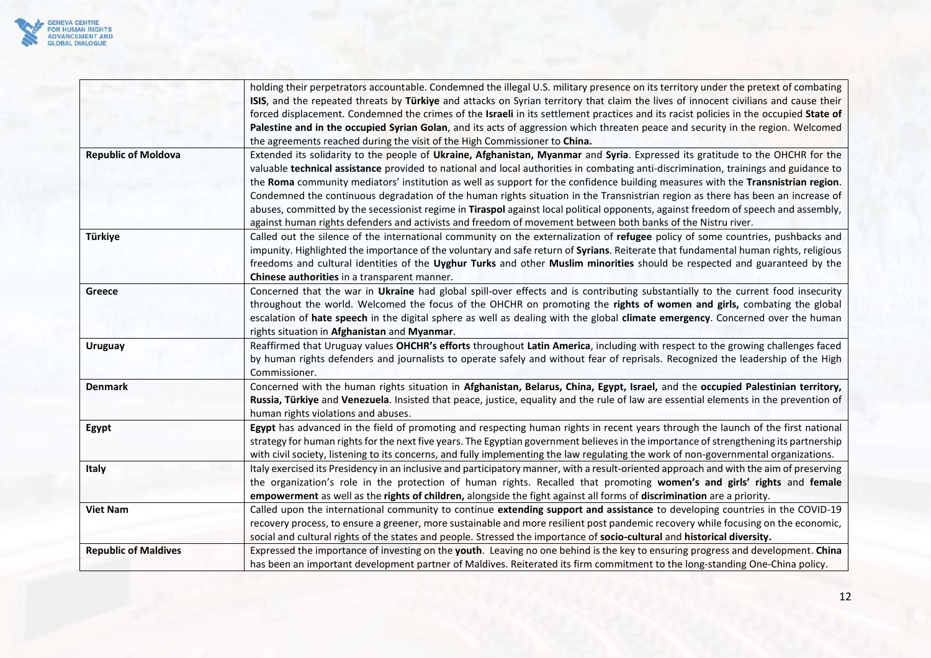

|                             | holding their perpetrators accountable. Condemned the illegal U.S. military presence on its territory under the pretext of combating    |
|-----------------------------|-----------------------------------------------------------------------------------------------------------------------------------------|
|                             | ISIS, and the repeated threats by Türkiye and attacks on Syrian territory that claim the lives of innocent civilians and cause their    |
|                             | forced displacement. Condemned the crimes of the Israeli in its settlement practices and its racist policies in the occupied State of   |
|                             | Palestine and in the occupied Syrian Golan, and its acts of aggression which threaten peace and security in the region. Welcomed        |
|                             | the agreements reached during the visit of the High Commissioner to China.                                                              |
| <b>Republic of Moldova</b>  | Extended its solidarity to the people of Ukraine, Afghanistan, Myanmar and Syria. Expressed its gratitude to the OHCHR for the          |
|                             | valuable technical assistance provided to national and local authorities in combating anti-discrimination, trainings and guidance to    |
|                             | the Roma community mediators' institution as well as support for the confidence building measures with the Transnistrian region.        |
|                             | Condemned the continuous degradation of the human rights situation in the Transnistrian region as there has been an increase of         |
|                             | abuses, committed by the secessionist regime in Tiraspol against local political opponents, against freedom of speech and assembly,     |
|                             | against human rights defenders and activists and freedom of movement between both banks of the Nistru river.                            |
| Türkiye                     | Called out the silence of the international community on the externalization of refugee policy of some countries, pushbacks and         |
|                             | impunity. Highlighted the importance of the voluntary and safe return of Syrians. Reiterate that fundamental human rights, religious    |
|                             | freedoms and cultural identities of the Uyghur Turks and other Muslim minorities should be respected and guaranteed by the              |
|                             | Chinese authorities in a transparent manner.                                                                                            |
| Greece                      | Concerned that the war in Ukraine had global spill-over effects and is contributing substantially to the current food insecurity        |
|                             | throughout the world. Welcomed the focus of the OHCHR on promoting the rights of women and girls, combating the global                  |
|                             | escalation of hate speech in the digital sphere as well as dealing with the global climate emergency. Concerned over the human          |
|                             | rights situation in Afghanistan and Myanmar.                                                                                            |
| <b>Uruguay</b>              | Reaffirmed that Uruguay values OHCHR's efforts throughout Latin America, including with respect to the growing challenges faced         |
|                             | by human rights defenders and journalists to operate safely and without fear of reprisals. Recognized the leadership of the High        |
|                             | Commissioner.                                                                                                                           |
| <b>Denmark</b>              | Concerned with the human rights situation in Afghanistan, Belarus, China, Egypt, Israel, and the occupied Palestinian territory,        |
|                             | Russia, Türkiye and Venezuela. Insisted that peace, justice, equality and the rule of law are essential elements in the prevention of   |
|                             | human rights violations and abuses.                                                                                                     |
| Egypt                       | Egypt has advanced in the field of promoting and respecting human rights in recent years through the launch of the first national       |
|                             | strategy for human rights for the next five years. The Egyptian government believes in the importance of strengthening its partnership  |
|                             | with civil society, listening to its concerns, and fully implementing the law regulating the work of non-governmental organizations.    |
| Italy                       | Italy exercised its Presidency in an inclusive and participatory manner, with a result-oriented approach and with the aim of preserving |
|                             | the organization's role in the protection of human rights. Recalled that promoting women's and girls' rights and female                 |
|                             | empowerment as well as the rights of children, alongside the fight against all forms of discrimination are a priority.                  |
| <b>Viet Nam</b>             | Called upon the international community to continue extending support and assistance to developing countries in the COVID-19            |
|                             | recovery process, to ensure a greener, more sustainable and more resilient post pandemic recovery while focusing on the economic,       |
|                             | social and cultural rights of the states and people. Stressed the importance of socio-cultural and historical diversity.                |
| <b>Republic of Maldives</b> | Expressed the importance of investing on the youth. Leaving no one behind is the key to ensuring progress and development. China        |
|                             | has been an important development partner of Maldives. Reiterated its firm commitment to the long-standing One-China policy.            |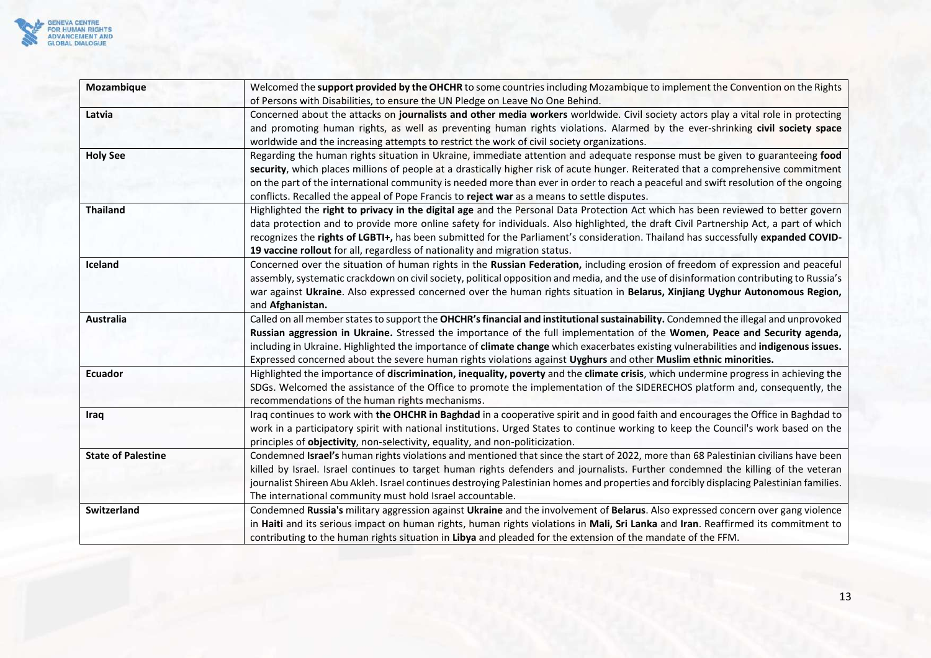

| Mozambique                | Welcomed the support provided by the OHCHR to some countries including Mozambique to implement the Convention on the Rights              |
|---------------------------|------------------------------------------------------------------------------------------------------------------------------------------|
|                           | of Persons with Disabilities, to ensure the UN Pledge on Leave No One Behind.                                                            |
| Latvia                    | Concerned about the attacks on journalists and other media workers worldwide. Civil society actors play a vital role in protecting       |
|                           | and promoting human rights, as well as preventing human rights violations. Alarmed by the ever-shrinking civil society space             |
|                           | worldwide and the increasing attempts to restrict the work of civil society organizations.                                               |
| <b>Holy See</b>           | Regarding the human rights situation in Ukraine, immediate attention and adequate response must be given to guaranteeing food            |
|                           | security, which places millions of people at a drastically higher risk of acute hunger. Reiterated that a comprehensive commitment       |
|                           | on the part of the international community is needed more than ever in order to reach a peaceful and swift resolution of the ongoing     |
|                           | conflicts. Recalled the appeal of Pope Francis to reject war as a means to settle disputes.                                              |
| <b>Thailand</b>           | Highlighted the right to privacy in the digital age and the Personal Data Protection Act which has been reviewed to better govern        |
|                           | data protection and to provide more online safety for individuals. Also highlighted, the draft Civil Partnership Act, a part of which    |
|                           | recognizes the rights of LGBTI+, has been submitted for the Parliament's consideration. Thailand has successfully expanded COVID-        |
|                           | 19 vaccine rollout for all, regardless of nationality and migration status.                                                              |
| Iceland                   | Concerned over the situation of human rights in the Russian Federation, including erosion of freedom of expression and peaceful          |
|                           | assembly, systematic crackdown on civil society, political opposition and media, and the use of disinformation contributing to Russia's  |
|                           | war against Ukraine. Also expressed concerned over the human rights situation in Belarus, Xinjiang Uyghur Autonomous Region,             |
|                           | and Afghanistan.                                                                                                                         |
| <b>Australia</b>          | Called on all member states to support the OHCHR's financial and institutional sustainability. Condemned the illegal and unprovoked      |
|                           | Russian aggression in Ukraine. Stressed the importance of the full implementation of the Women, Peace and Security agenda,               |
|                           | including in Ukraine. Highlighted the importance of climate change which exacerbates existing vulnerabilities and indigenous issues.     |
|                           | Expressed concerned about the severe human rights violations against Uyghurs and other Muslim ethnic minorities.                         |
| Ecuador                   | Highlighted the importance of discrimination, inequality, poverty and the climate crisis, which undermine progress in achieving the      |
|                           | SDGs. Welcomed the assistance of the Office to promote the implementation of the SIDERECHOS platform and, consequently, the              |
|                           | recommendations of the human rights mechanisms.                                                                                          |
| Iraq                      | Iraq continues to work with the OHCHR in Baghdad in a cooperative spirit and in good faith and encourages the Office in Baghdad to       |
|                           | work in a participatory spirit with national institutions. Urged States to continue working to keep the Council's work based on the      |
|                           | principles of objectivity, non-selectivity, equality, and non-politicization.                                                            |
| <b>State of Palestine</b> | Condemned Israel's human rights violations and mentioned that since the start of 2022, more than 68 Palestinian civilians have been      |
|                           | killed by Israel. Israel continues to target human rights defenders and journalists. Further condemned the killing of the veteran        |
|                           | journalist Shireen Abu Akleh. Israel continues destroying Palestinian homes and properties and forcibly displacing Palestinian families. |
|                           | The international community must hold Israel accountable.                                                                                |
| <b>Switzerland</b>        | Condemned Russia's military aggression against Ukraine and the involvement of Belarus. Also expressed concern over gang violence         |
|                           | in Haiti and its serious impact on human rights, human rights violations in Mali, Sri Lanka and Iran. Reaffirmed its commitment to       |
|                           | contributing to the human rights situation in Libya and pleaded for the extension of the mandate of the FFM.                             |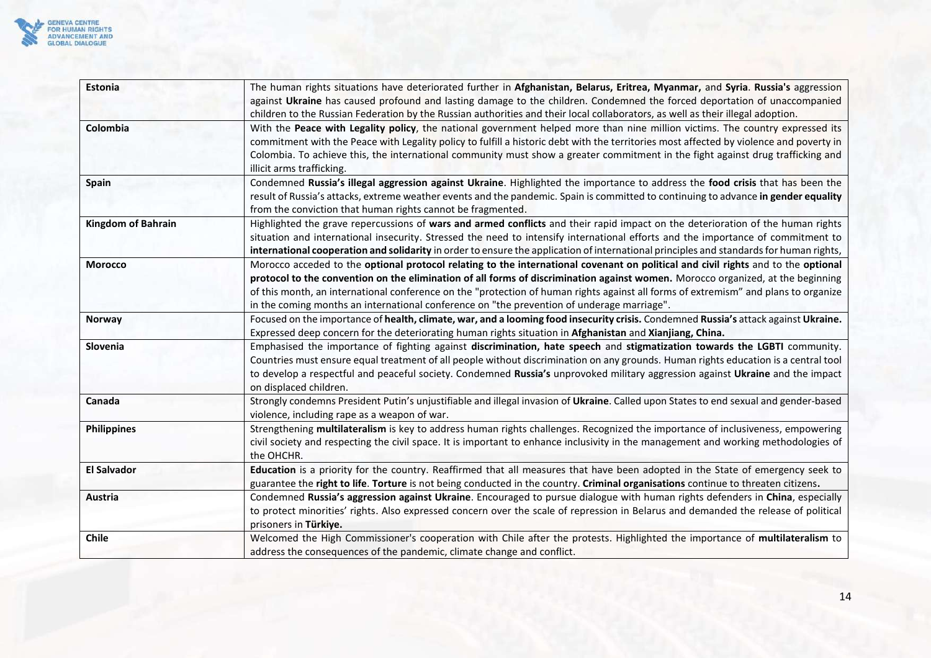

| <b>Estonia</b>            | The human rights situations have deteriorated further in Afghanistan, Belarus, Eritrea, Myanmar, and Syria. Russia's aggression         |
|---------------------------|-----------------------------------------------------------------------------------------------------------------------------------------|
|                           | against Ukraine has caused profound and lasting damage to the children. Condemned the forced deportation of unaccompanied               |
|                           | children to the Russian Federation by the Russian authorities and their local collaborators, as well as their illegal adoption.         |
| Colombia                  | With the Peace with Legality policy, the national government helped more than nine million victims. The country expressed its           |
|                           | commitment with the Peace with Legality policy to fulfill a historic debt with the territories most affected by violence and poverty in |
|                           | Colombia. To achieve this, the international community must show a greater commitment in the fight against drug trafficking and         |
|                           | illicit arms trafficking.                                                                                                               |
| Spain                     | Condemned Russia's illegal aggression against Ukraine. Highlighted the importance to address the food crisis that has been the          |
|                           | result of Russia's attacks, extreme weather events and the pandemic. Spain is committed to continuing to advance in gender equality     |
|                           | from the conviction that human rights cannot be fragmented.                                                                             |
| <b>Kingdom of Bahrain</b> | Highlighted the grave repercussions of wars and armed conflicts and their rapid impact on the deterioration of the human rights         |
|                           | situation and international insecurity. Stressed the need to intensify international efforts and the importance of commitment to        |
|                           | international cooperation and solidarity in order to ensure the application of international principles and standards for human rights, |
| <b>Morocco</b>            | Morocco acceded to the optional protocol relating to the international covenant on political and civil rights and to the optional       |
|                           | protocol to the convention on the elimination of all forms of discrimination against women. Morocco organized, at the beginning         |
|                           | of this month, an international conference on the "protection of human rights against all forms of extremism" and plans to organize     |
|                           | in the coming months an international conference on "the prevention of underage marriage".                                              |
| <b>Norway</b>             | Focused on the importance of health, climate, war, and a looming food insecurity crisis. Condemned Russia's attack against Ukraine.     |
|                           | Expressed deep concern for the deteriorating human rights situation in Afghanistan and Xianjiang, China.                                |
| Slovenia                  | Emphasised the importance of fighting against discrimination, hate speech and stigmatization towards the LGBTI community.               |
|                           | Countries must ensure equal treatment of all people without discrimination on any grounds. Human rights education is a central tool     |
|                           | to develop a respectful and peaceful society. Condemned Russia's unprovoked military aggression against Ukraine and the impact          |
|                           | on displaced children.                                                                                                                  |
| Canada                    | Strongly condemns President Putin's unjustifiable and illegal invasion of Ukraine. Called upon States to end sexual and gender-based    |
|                           | violence, including rape as a weapon of war.                                                                                            |
| <b>Philippines</b>        | Strengthening multilateralism is key to address human rights challenges. Recognized the importance of inclusiveness, empowering         |
|                           | civil society and respecting the civil space. It is important to enhance inclusivity in the management and working methodologies of     |
|                           | the OHCHR.                                                                                                                              |
| <b>El Salvador</b>        | Education is a priority for the country. Reaffirmed that all measures that have been adopted in the State of emergency seek to          |
|                           | guarantee the right to life. Torture is not being conducted in the country. Criminal organisations continue to threaten citizens.       |
| Austria                   | Condemned Russia's aggression against Ukraine. Encouraged to pursue dialogue with human rights defenders in China, especially           |
|                           | to protect minorities' rights. Also expressed concern over the scale of repression in Belarus and demanded the release of political     |
|                           | prisoners in Türkiye.                                                                                                                   |
| <b>Chile</b>              | Welcomed the High Commissioner's cooperation with Chile after the protests. Highlighted the importance of multilateralism to            |
|                           | address the consequences of the pandemic, climate change and conflict.                                                                  |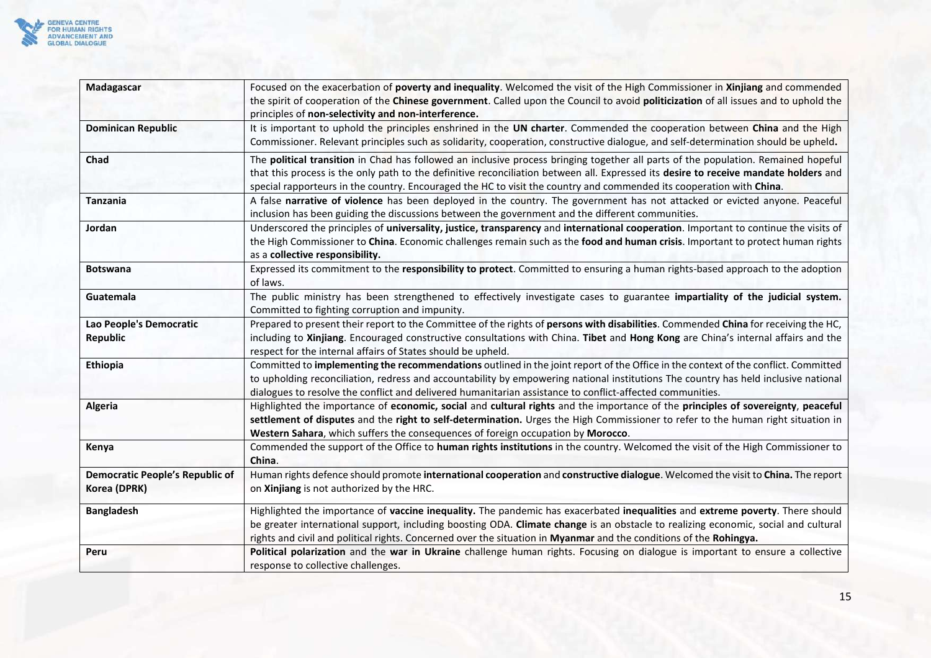

| Madagascar                             | Focused on the exacerbation of poverty and inequality. Welcomed the visit of the High Commissioner in Xinjiang and commended         |
|----------------------------------------|--------------------------------------------------------------------------------------------------------------------------------------|
|                                        | the spirit of cooperation of the Chinese government. Called upon the Council to avoid politicization of all issues and to uphold the |
|                                        | principles of non-selectivity and non-interference.                                                                                  |
| <b>Dominican Republic</b>              | It is important to uphold the principles enshrined in the UN charter. Commended the cooperation between China and the High           |
|                                        | Commissioner. Relevant principles such as solidarity, cooperation, constructive dialogue, and self-determination should be upheld.   |
| Chad                                   | The political transition in Chad has followed an inclusive process bringing together all parts of the population. Remained hopeful   |
|                                        | that this process is the only path to the definitive reconciliation between all. Expressed its desire to receive mandate holders and |
|                                        | special rapporteurs in the country. Encouraged the HC to visit the country and commended its cooperation with China.                 |
| <b>Tanzania</b>                        | A false narrative of violence has been deployed in the country. The government has not attacked or evicted anyone. Peaceful          |
|                                        | inclusion has been guiding the discussions between the government and the different communities.                                     |
| Jordan                                 | Underscored the principles of universality, justice, transparency and international cooperation. Important to continue the visits of |
|                                        | the High Commissioner to China. Economic challenges remain such as the food and human crisis. Important to protect human rights      |
|                                        | as a collective responsibility.                                                                                                      |
| <b>Botswana</b>                        | Expressed its commitment to the responsibility to protect. Committed to ensuring a human rights-based approach to the adoption       |
|                                        | of laws.                                                                                                                             |
| Guatemala                              | The public ministry has been strengthened to effectively investigate cases to guarantee impartiality of the judicial system.         |
|                                        | Committed to fighting corruption and impunity.                                                                                       |
| Lao People's Democratic                | Prepared to present their report to the Committee of the rights of persons with disabilities. Commended China for receiving the HC,  |
| <b>Republic</b>                        | including to Xinjiang. Encouraged constructive consultations with China. Tibet and Hong Kong are China's internal affairs and the    |
|                                        | respect for the internal affairs of States should be upheld.                                                                         |
| Ethiopia                               | Committed to implementing the recommendations outlined in the joint report of the Office in the context of the conflict. Committed   |
|                                        | to upholding reconciliation, redress and accountability by empowering national institutions The country has held inclusive national  |
|                                        | dialogues to resolve the conflict and delivered humanitarian assistance to conflict-affected communities.                            |
| <b>Algeria</b>                         | Highlighted the importance of economic, social and cultural rights and the importance of the principles of sovereignty, peaceful     |
|                                        | settlement of disputes and the right to self-determination. Urges the High Commissioner to refer to the human right situation in     |
|                                        | Western Sahara, which suffers the consequences of foreign occupation by Morocco.                                                     |
| Kenya                                  | Commended the support of the Office to human rights institutions in the country. Welcomed the visit of the High Commissioner to      |
|                                        | China.                                                                                                                               |
| <b>Democratic People's Republic of</b> | Human rights defence should promote international cooperation and constructive dialogue. Welcomed the visit to China. The report     |
| Korea (DPRK)                           | on Xinjiang is not authorized by the HRC.                                                                                            |
| <b>Bangladesh</b>                      | Highlighted the importance of vaccine inequality. The pandemic has exacerbated inequalities and extreme poverty. There should        |
|                                        | be greater international support, including boosting ODA. Climate change is an obstacle to realizing economic, social and cultural   |
|                                        | rights and civil and political rights. Concerned over the situation in Myanmar and the conditions of the Rohingya.                   |
| Peru                                   | Political polarization and the war in Ukraine challenge human rights. Focusing on dialogue is important to ensure a collective       |
|                                        | response to collective challenges.                                                                                                   |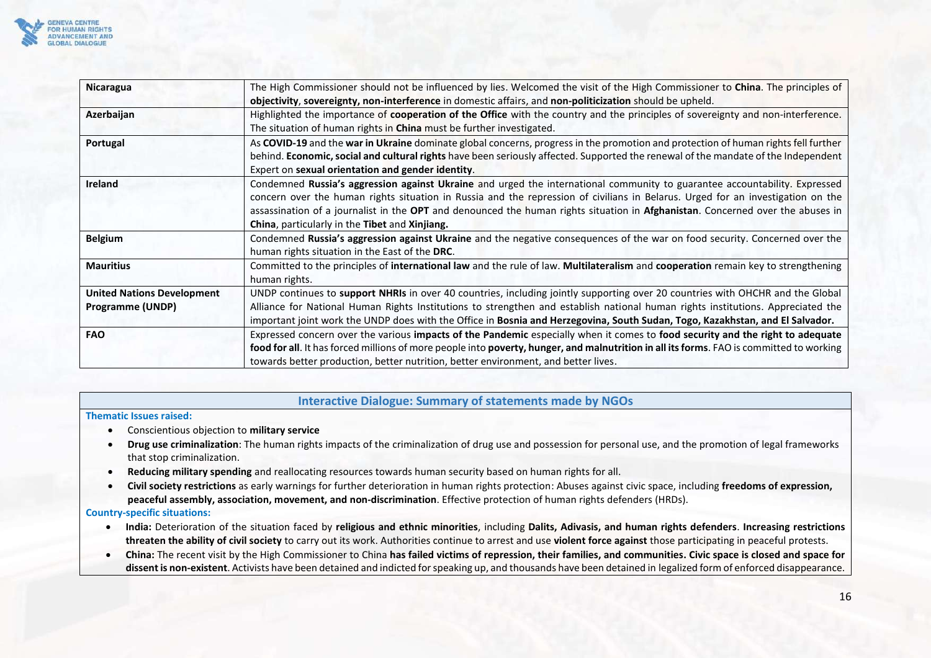

| Nicaragua                                             | The High Commissioner should not be influenced by lies. Welcomed the visit of the High Commissioner to China. The principles of<br>objectivity, sovereignty, non-interference in domestic affairs, and non-politicization should be upheld.                                                                                                                                                                                                       |
|-------------------------------------------------------|---------------------------------------------------------------------------------------------------------------------------------------------------------------------------------------------------------------------------------------------------------------------------------------------------------------------------------------------------------------------------------------------------------------------------------------------------|
| Azerbaijan                                            | Highlighted the importance of cooperation of the Office with the country and the principles of sovereignty and non-interference.<br>The situation of human rights in <b>China</b> must be further investigated.                                                                                                                                                                                                                                   |
| Portugal                                              | As COVID-19 and the war in Ukraine dominate global concerns, progress in the promotion and protection of human rights fell further<br>behind. Economic, social and cultural rights have been seriously affected. Supported the renewal of the mandate of the Independent<br>Expert on sexual orientation and gender identity.                                                                                                                     |
| <b>Ireland</b>                                        | Condemned Russia's aggression against Ukraine and urged the international community to guarantee accountability. Expressed<br>concern over the human rights situation in Russia and the repression of civilians in Belarus. Urged for an investigation on the<br>assassination of a journalist in the OPT and denounced the human rights situation in Afghanistan. Concerned over the abuses in<br>China, particularly in the Tibet and Xinjiang. |
| <b>Belgium</b>                                        | Condemned Russia's aggression against Ukraine and the negative consequences of the war on food security. Concerned over the<br>human rights situation in the East of the DRC.                                                                                                                                                                                                                                                                     |
| <b>Mauritius</b>                                      | Committed to the principles of international law and the rule of law. Multilateralism and cooperation remain key to strengthening<br>human rights.                                                                                                                                                                                                                                                                                                |
| <b>United Nations Development</b><br>Programme (UNDP) | UNDP continues to support NHRIs in over 40 countries, including jointly supporting over 20 countries with OHCHR and the Global<br>Alliance for National Human Rights Institutions to strengthen and establish national human rights institutions. Appreciated the<br>important joint work the UNDP does with the Office in Bosnia and Herzegovina, South Sudan, Togo, Kazakhstan, and El Salvador.                                                |
| <b>FAO</b>                                            | Expressed concern over the various impacts of the Pandemic especially when it comes to food security and the right to adequate<br>food for all. It has forced millions of more people into poverty, hunger, and malnutrition in all its forms. FAO is committed to working<br>towards better production, better nutrition, better environment, and better lives.                                                                                  |

### **Interactive Dialogue: Summary of statements made by NGOs**

#### <span id="page-15-0"></span>**Thematic Issues raised:**

- Conscientious objection to **military service**
- **Drug use criminalization**: The human rights impacts of the criminalization of drug use and possession for personal use, and the promotion of legal frameworks that stop criminalization.
- **Reducing military spending** and reallocating resources towards human security based on human rights for all.
- **Civil society restrictions** as early warnings for further deterioration in human rights protection: Abuses against civic space, including **freedoms of expression, peaceful assembly, association, movement, and non-discrimination**. Effective protection of human rights defenders (HRDs).

#### **Country-specific situations:**

- **India:** Deterioration of the situation faced by **religious and ethnic minorities**, including **Dalits, Adivasis, and human rights defenders**. **Increasing restrictions threaten the ability of civil society** to carry out its work. Authorities continue to arrest and use **violent force against** those participating in peaceful protests.
- **China:** The recent visit by the High Commissioner to China **has failed victims of repression, their families, and communities. Civic space is closed and space for dissent is non-existent**. Activists have been detained and indicted for speaking up, and thousands have been detained in legalized form of enforced disappearance.